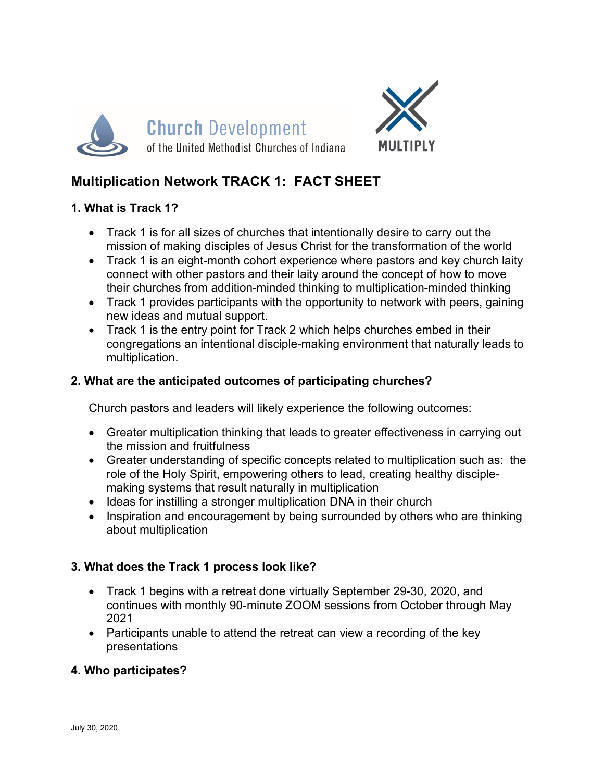



# **Multiplication Network TRACK 1: FACT SHEET**

# **1. What is Track 1?**

- Track 1 is for all sizes of churches that intentionally desire to carry out the mission of making disciples of Jesus Christ for the transformation of the world
- Track 1 is an eight-month cohort experience where pastors and key church laity connect with other pastors and their laity around the concept of how to move their churches from addition-minded thinking to multiplication-minded thinking
- Track 1 provides participants with the opportunity to network with peers, gaining new ideas and mutual support.
- Track 1 is the entry point for Track 2 which helps churches embed in their congregations an intentional disciple-making environment that naturally leads to multiplication.

# **2. What are the anticipated outcomes of participating churches?**

Church pastors and leaders will likely experience the following outcomes:

- Greater multiplication thinking that leads to greater effectiveness in carrying out the mission and fruitfulness
- Greater understanding of specific concepts related to multiplication such as: the role of the Holy Spirit, empowering others to lead, creating healthy disciplemaking systems that result naturally in multiplication
- Ideas for instilling a stronger multiplication DNA in their church
- Inspiration and encouragement by being surrounded by others who are thinking about multiplication

# **3. What does the Track 1 process look like?**

- Track 1 begins with a retreat done virtually September 29-30, 2020, and continues with monthly 90-minute ZOOM sessions from October through May 2021
- Participants unable to attend the retreat can view a recording of the key presentations

#### **4. Who participates?**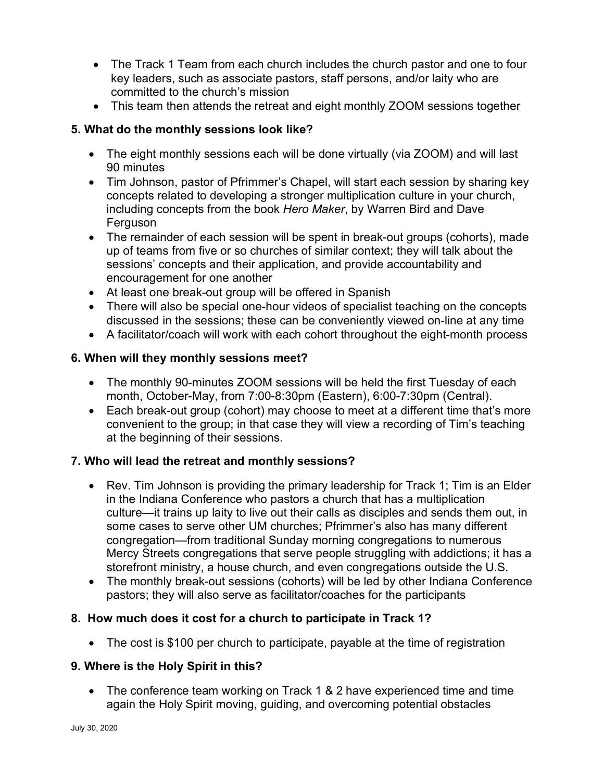- The Track 1 Team from each church includes the church pastor and one to four key leaders, such as associate pastors, staff persons, and/or laity who are committed to the church's mission
- This team then attends the retreat and eight monthly ZOOM sessions together

# **5. What do the monthly sessions look like?**

- The eight monthly sessions each will be done virtually (via ZOOM) and will last 90 minutes
- Tim Johnson, pastor of Pfrimmer's Chapel, will start each session by sharing key concepts related to developing a stronger multiplication culture in your church, including concepts from the book *Hero Maker*, by Warren Bird and Dave Ferguson
- The remainder of each session will be spent in break-out groups (cohorts), made up of teams from five or so churches of similar context; they will talk about the sessions' concepts and their application, and provide accountability and encouragement for one another
- At least one break-out group will be offered in Spanish
- There will also be special one-hour videos of specialist teaching on the concepts discussed in the sessions; these can be conveniently viewed on-line at any time
- A facilitator/coach will work with each cohort throughout the eight-month process

#### **6. When will they monthly sessions meet?**

- The monthly 90-minutes ZOOM sessions will be held the first Tuesday of each month, October-May, from 7:00-8:30pm (Eastern), 6:00-7:30pm (Central).
- Each break-out group (cohort) may choose to meet at a different time that's more convenient to the group; in that case they will view a recording of Tim's teaching at the beginning of their sessions.

#### **7. Who will lead the retreat and monthly sessions?**

- Rev. Tim Johnson is providing the primary leadership for Track 1; Tim is an Elder in the Indiana Conference who pastors a church that has a multiplication culture—it trains up laity to live out their calls as disciples and sends them out, in some cases to serve other UM churches; Pfrimmer's also has many different congregation—from traditional Sunday morning congregations to numerous Mercy Streets congregations that serve people struggling with addictions; it has a storefront ministry, a house church, and even congregations outside the U.S.
- The monthly break-out sessions (cohorts) will be led by other Indiana Conference pastors; they will also serve as facilitator/coaches for the participants

#### **8. How much does it cost for a church to participate in Track 1?**

• The cost is \$100 per church to participate, payable at the time of registration

#### **9. Where is the Holy Spirit in this?**

• The conference team working on Track 1 & 2 have experienced time and time again the Holy Spirit moving, guiding, and overcoming potential obstacles